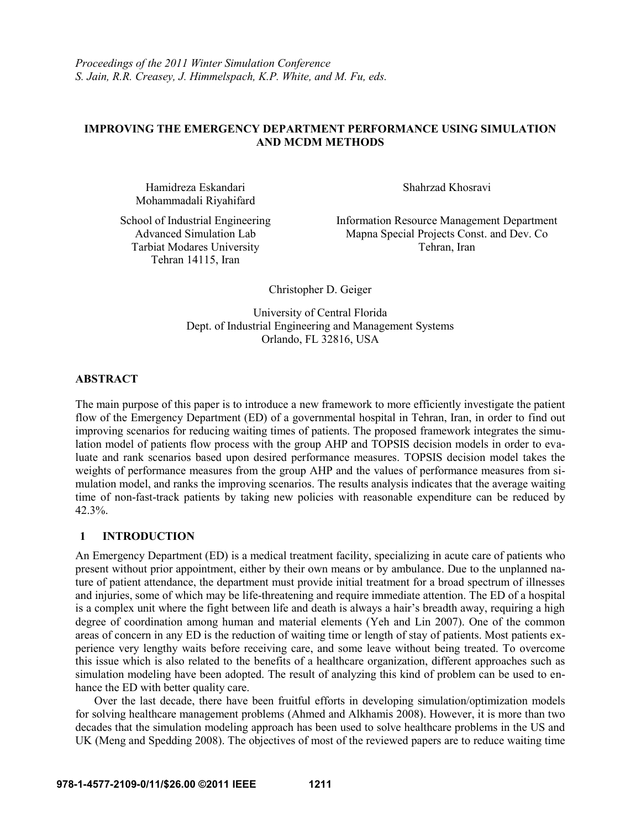## **IMPROVING THE EMERGENCY DEPARTMENT PERFORMANCE USING SIMULATION AND MCDM METHODS**

Hamidreza Eskandari Mohammadali Riyahifard Shahrzad Khosravi

School of Industrial Engineering Advanced Simulation Lab Tarbiat Modares University Tehran 14115, Iran

Information Resource Management Department Mapna Special Projects Const. and Dev. Co Tehran, Iran

Christopher D. Geiger

University of Central Florida Dept. of Industrial Engineering and Management Systems Orlando, FL 32816, USA

## **ABSTRACT**

The main purpose of this paper is to introduce a new framework to more efficiently investigate the patient flow of the Emergency Department (ED) of a governmental hospital in Tehran, Iran, in order to find out improving scenarios for reducing waiting times of patients. The proposed framework integrates the simulation model of patients flow process with the group AHP and TOPSIS decision models in order to evaluate and rank scenarios based upon desired performance measures. TOPSIS decision model takes the weights of performance measures from the group AHP and the values of performance measures from simulation model, and ranks the improving scenarios. The results analysis indicates that the average waiting time of non-fast-track patients by taking new policies with reasonable expenditure can be reduced by 42.3%.

## **1 INTRODUCTION**

An Emergency Department (ED) is a medical treatment facility, specializing in acute care of patients who present without prior appointment, either by their own means or by ambulance. Due to the unplanned nature of patient attendance, the department must provide initial treatment for a broad spectrum of illnesses and injuries, some of which may be life-threatening and require immediate attention. The ED of a hospital is a complex unit where the fight between life and death is always a hair's breadth away, requiring a high degree of coordination among human and material elements (Yeh and Lin 2007). One of the common areas of concern in any ED is the reduction of waiting time or length of stay of patients. Most patients experience very lengthy waits before receiving care, and some leave without being treated. To overcome this issue which is also related to the benefits of a healthcare organization, different approaches such as simulation modeling have been adopted. The result of analyzing this kind of problem can be used to enhance the ED with better quality care.

Over the last decade, there have been fruitful efforts in developing simulation/optimization models for solving healthcare management problems (Ahmed and Alkhamis 2008). However, it is more than two decades that the simulation modeling approach has been used to solve healthcare problems in the US and UK (Meng and Spedding 2008). The objectives of most of the reviewed papers are to reduce waiting time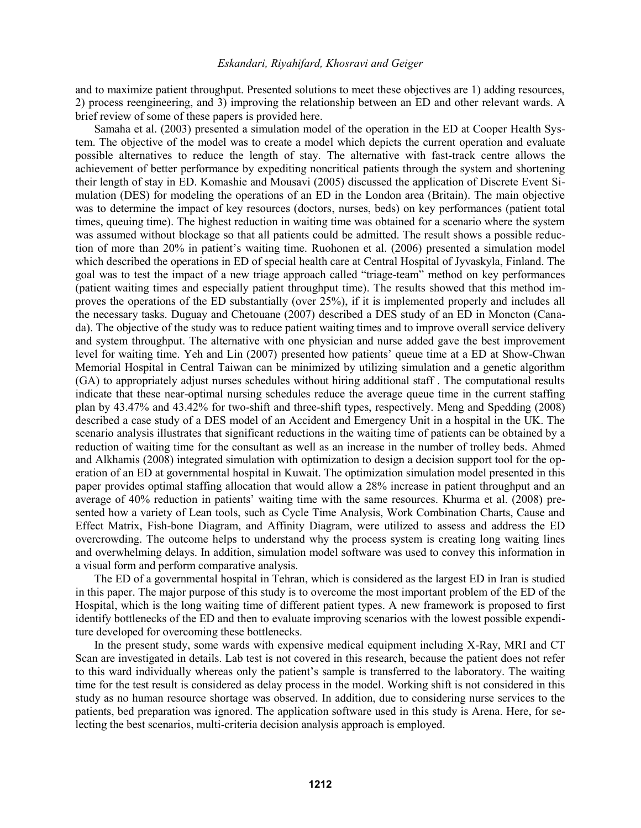and to maximize patient throughput. Presented solutions to meet these objectives are 1) adding resources, 2) process reengineering, and 3) improving the relationship between an ED and other relevant wards. A brief review of some of these papers is provided here.

Samaha et al. (2003) presented a simulation model of the operation in the ED at Cooper Health System. The objective of the model was to create a model which depicts the current operation and evaluate possible alternatives to reduce the length of stay. The alternative with fast-track centre allows the achievement of better performance by expediting noncritical patients through the system and shortening their length of stay in ED. Komashie and Mousavi (2005) discussed the application of Discrete Event Simulation (DES) for modeling the operations of an ED in the London area (Britain). The main objective was to determine the impact of key resources (doctors, nurses, beds) on key performances (patient total times, queuing time). The highest reduction in waiting time was obtained for a scenario where the system was assumed without blockage so that all patients could be admitted. The result shows a possible reduction of more than 20% in patient's waiting time. Ruohonen et al. (2006) presented a simulation model which described the operations in ED of special health care at Central Hospital of Jyvaskyla, Finland. The goal was to test the impact of a new triage approach called "triage-team" method on key performances (patient waiting times and especially patient throughput time). The results showed that this method improves the operations of the ED substantially (over 25%), if it is implemented properly and includes all the necessary tasks. Duguay and Chetouane (2007) described a DES study of an ED in Moncton (Canada). The objective of the study was to reduce patient waiting times and to improve overall service delivery and system throughput. The alternative with one physician and nurse added gave the best improvement level for waiting time. Yeh and Lin (2007) presented how patients' queue time at a ED at Show-Chwan Memorial Hospital in Central Taiwan can be minimized by utilizing simulation and a genetic algorithm (GA) to appropriately adjust nurses schedules without hiring additional staff . The computational results indicate that these near-optimal nursing schedules reduce the average queue time in the current staffing plan by 43.47% and 43.42% for two-shift and three-shift types, respectively. Meng and Spedding (2008) described a case study of a DES model of an Accident and Emergency Unit in a hospital in the UK. The scenario analysis illustrates that significant reductions in the waiting time of patients can be obtained by a reduction of waiting time for the consultant as well as an increase in the number of trolley beds. Ahmed and Alkhamis (2008) integrated simulation with optimization to design a decision support tool for the operation of an ED at governmental hospital in Kuwait. The optimization simulation model presented in this paper provides optimal staffing allocation that would allow a 28% increase in patient throughput and an average of 40% reduction in patients' waiting time with the same resources. Khurma et al. (2008) presented how a variety of Lean tools, such as Cycle Time Analysis, Work Combination Charts, Cause and Effect Matrix, Fish-bone Diagram, and Affinity Diagram, were utilized to assess and address the ED overcrowding. The outcome helps to understand why the process system is creating long waiting lines and overwhelming delays. In addition, simulation model software was used to convey this information in a visual form and perform comparative analysis.

The ED of a governmental hospital in Tehran, which is considered as the largest ED in Iran is studied in this paper. The major purpose of this study is to overcome the most important problem of the ED of the Hospital, which is the long waiting time of different patient types. A new framework is proposed to first identify bottlenecks of the ED and then to evaluate improving scenarios with the lowest possible expenditure developed for overcoming these bottlenecks.

In the present study, some wards with expensive medical equipment including X-Ray, MRI and CT Scan are investigated in details. Lab test is not covered in this research, because the patient does not refer to this ward individually whereas only the patient's sample is transferred to the laboratory. The waiting time for the test result is considered as delay process in the model. Working shift is not considered in this study as no human resource shortage was observed. In addition, due to considering nurse services to the patients, bed preparation was ignored. The application software used in this study is Arena. Here, for selecting the best scenarios, multi-criteria decision analysis approach is employed.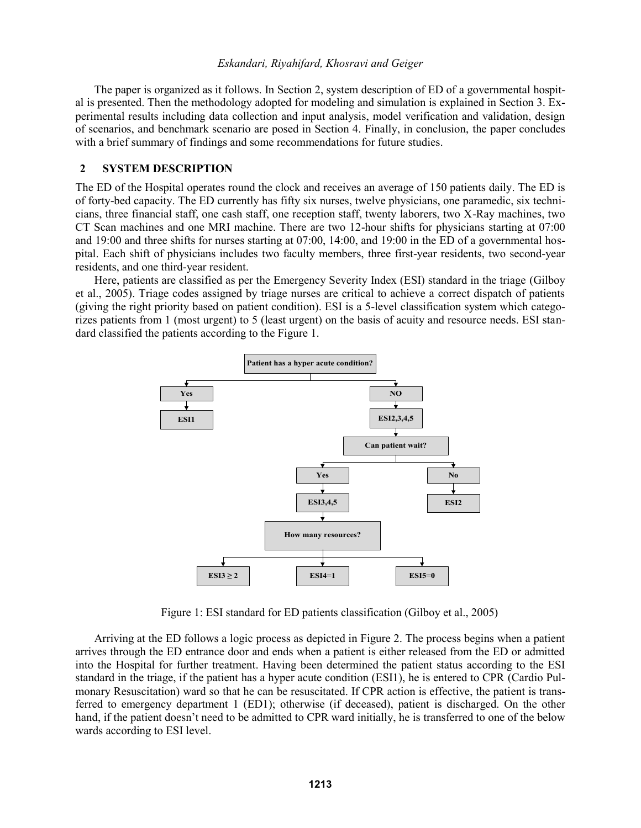The paper is organized as it follows. In Section 2, system description of ED of a governmental hospital is presented. Then the methodology adopted for modeling and simulation is explained in Section 3. Experimental results including data collection and input analysis, model verification and validation, design of scenarios, and benchmark scenario are posed in Section 4. Finally, in conclusion, the paper concludes with a brief summary of findings and some recommendations for future studies.

#### **2 SYSTEM DESCRIPTION**

The ED of the Hospital operates round the clock and receives an average of 150 patients daily. The ED is of forty-bed capacity. The ED currently has fifty six nurses, twelve physicians, one paramedic, six technicians, three financial staff, one cash staff, one reception staff, twenty laborers, two X-Ray machines, two CT Scan machines and one MRI machine. There are two 12-hour shifts for physicians starting at 07:00 and 19:00 and three shifts for nurses starting at 07:00, 14:00, and 19:00 in the ED of a governmental hospital. Each shift of physicians includes two faculty members, three first-year residents, two second-year residents, and one third-year resident.

Here, patients are classified as per the Emergency Severity Index (ESI) standard in the triage (Gilboy et al., 2005). Triage codes assigned by triage nurses are critical to achieve a correct dispatch of patients (giving the right priority based on patient condition). ESI is a 5-level classification system which categorizes patients from 1 (most urgent) to 5 (least urgent) on the basis of acuity and resource needs. ESI standard classified the patients according to the Figure 1.



Figure 1: ESI standard for ED patients classification (Gilboy et al., 2005)

Arriving at the ED follows a logic process as depicted in Figure 2. The process begins when a patient arrives through the ED entrance door and ends when a patient is either released from the ED or admitted into the Hospital for further treatment. Having been determined the patient status according to the ESI standard in the triage, if the patient has a hyper acute condition (ESI1), he is entered to CPR (Cardio Pulmonary Resuscitation) ward so that he can be resuscitated. If CPR action is effective, the patient is transferred to emergency department 1 (ED1); otherwise (if deceased), patient is discharged. On the other hand, if the patient doesn't need to be admitted to CPR ward initially, he is transferred to one of the below wards according to ESI level.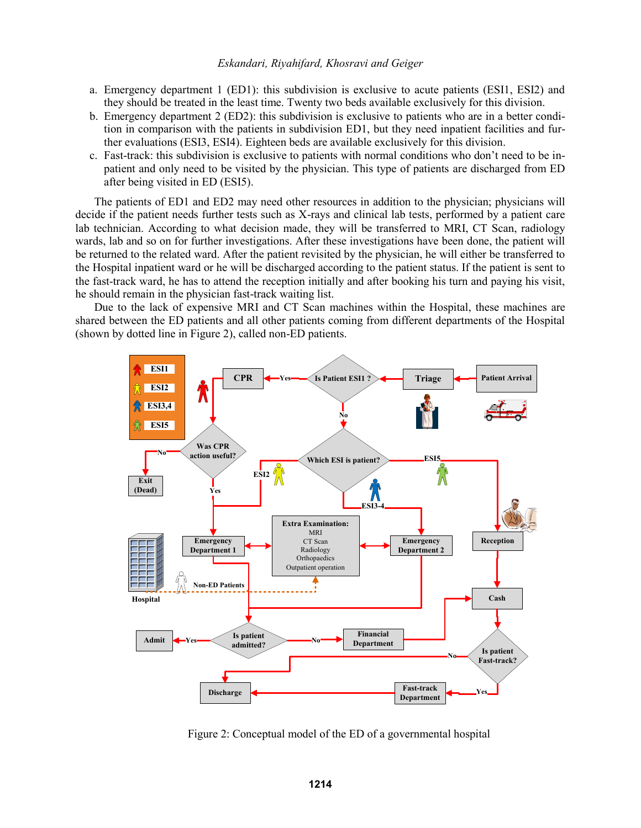- a. Emergency department 1 (ED1): this subdivision is exclusive to acute patients (ESI1, ESI2) and they should be treated in the least time. Twenty two beds available exclusively for this division.
- b. Emergency department 2 (ED2): this subdivision is exclusive to patients who are in a better condition in comparison with the patients in subdivision ED1, but they need inpatient facilities and further evaluations (ESI3, ESI4). Eighteen beds are available exclusively for this division.
- c. Fast-track: this subdivision is exclusive to patients with normal conditions who don't need to be inpatient and only need to be visited by the physician. This type of patients are discharged from ED after being visited in ED (ESI5).

The patients of ED1 and ED2 may need other resources in addition to the physician; physicians will decide if the patient needs further tests such as X-rays and clinical lab tests, performed by a patient care lab technician. According to what decision made, they will be transferred to MRI, CT Scan, radiology wards, lab and so on for further investigations. After these investigations have been done, the patient will be returned to the related ward. After the patient revisited by the physician, he will either be transferred to the Hospital inpatient ward or he will be discharged according to the patient status. If the patient is sent to the fast-track ward, he has to attend the reception initially and after booking his turn and paying his visit, he should remain in the physician fast-track waiting list.

Due to the lack of expensive MRI and CT Scan machines within the Hospital, these machines are shared between the ED patients and all other patients coming from different departments of the Hospital (shown by dotted line in Figure 2), called non-ED patients.



Figure 2: Conceptual model of the ED of a governmental hospital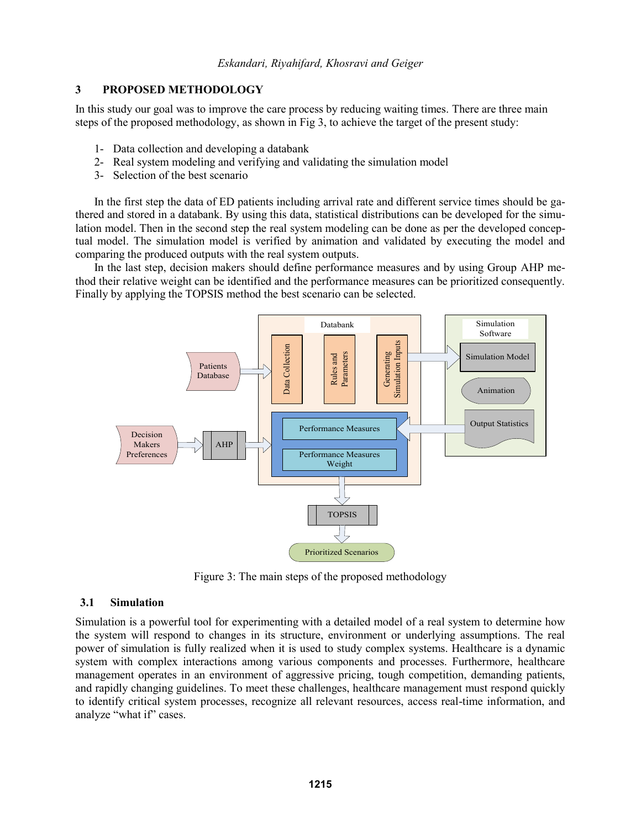# **3 PROPOSED METHODOLOGY**

In this study our goal was to improve the care process by reducing waiting times. There are three main steps of the proposed methodology, as shown in Fig 3, to achieve the target of the present study:

- 1- Data collection and developing a databank
- 2- Real system modeling and verifying and validating the simulation model
- 3- Selection of the best scenario

In the first step the data of ED patients including arrival rate and different service times should be gathered and stored in a databank. By using this data, statistical distributions can be developed for the simulation model. Then in the second step the real system modeling can be done as per the developed conceptual model. The simulation model is verified by animation and validated by executing the model and comparing the produced outputs with the real system outputs.

In the last step, decision makers should define performance measures and by using Group AHP method their relative weight can be identified and the performance measures can be prioritized consequently. Finally by applying the TOPSIS method the best scenario can be selected.



Figure 3: The main steps of the proposed methodology

## **3.1 Simulation**

Simulation is a powerful tool for experimenting with a detailed model of a real system to determine how the system will respond to changes in its structure, environment or underlying assumptions. The real power of simulation is fully realized when it is used to study complex systems. Healthcare is a dynamic system with complex interactions among various components and processes. Furthermore, healthcare management operates in an environment of aggressive pricing, tough competition, demanding patients, and rapidly changing guidelines. To meet these challenges, healthcare management must respond quickly to identify critical system processes, recognize all relevant resources, access real-time information, and analyze "what if" cases.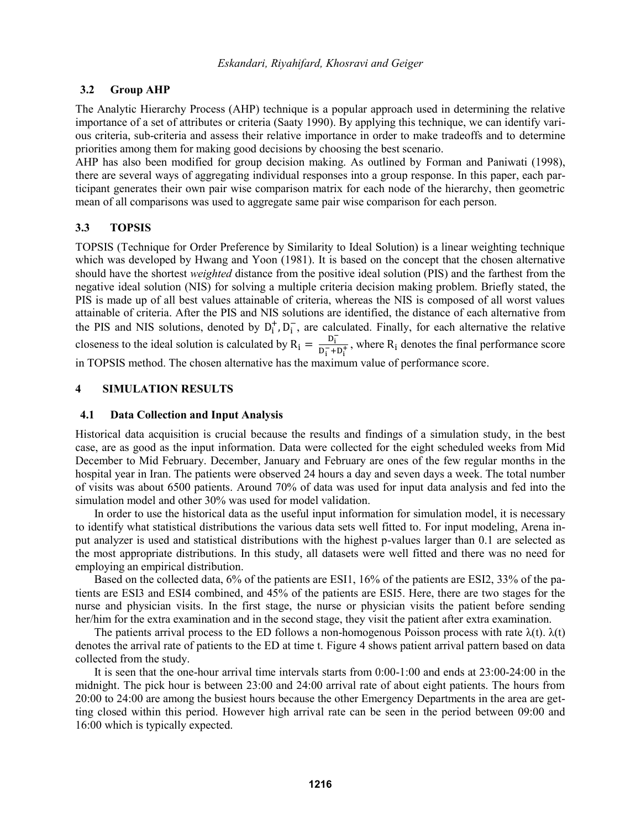# **3.2 Group AHP**

The Analytic Hierarchy Process (AHP) technique is a popular approach used in determining the relative importance of a set of attributes or criteria (Saaty 1990). By applying this technique, we can identify various criteria, sub-criteria and assess their relative importance in order to make tradeoffs and to determine priorities among them for making good decisions by choosing the best scenario.

AHP has also been modified for group decision making. As outlined by Forman and Paniwati (1998), there are several ways of aggregating individual responses into a group response. In this paper, each participant generates their own pair wise comparison matrix for each node of the hierarchy, then geometric mean of all comparisons was used to aggregate same pair wise comparison for each person.

# **3.3 TOPSIS**

TOPSIS (Technique for Order Preference by Similarity to Ideal Solution) is a linear weighting technique which was developed by Hwang and Yoon (1981). It is based on the concept that the chosen alternative should have the shortest *weighted* distance from the positive ideal solution (PIS) and the farthest from the negative ideal solution (NIS) for solving a multiple criteria decision making problem. Briefly stated, the PIS is made up of all best values attainable of criteria, whereas the NIS is composed of all worst values attainable of criteria. After the PIS and NIS solutions are identified, the distance of each alternative from the PIS and NIS solutions, denoted by  $D_i^+, D_i^-,$  are calculated. Finally, for each alternative the relative closeness to the ideal solution is calculated by  $R_i = \frac{D_i^2}{D_i^2}$  $\frac{v_i}{D_i^- + D_i^+}$ , where R<sub>i</sub> denotes the final performance score in TOPSIS method. The chosen alternative has the maximum value of performance score.

## **4 SIMULATION RESULTS**

## **4.1 Data Collection and Input Analysis**

Historical data acquisition is crucial because the results and findings of a simulation study, in the best case, are as good as the input information. Data were collected for the eight scheduled weeks from Mid December to Mid February. December, January and February are ones of the few regular months in the hospital year in Iran. The patients were observed 24 hours a day and seven days a week. The total number of visits was about 6500 patients. Around 70% of data was used for input data analysis and fed into the simulation model and other 30% was used for model validation.

In order to use the historical data as the useful input information for simulation model, it is necessary to identify what statistical distributions the various data sets well fitted to. For input modeling, Arena input analyzer is used and statistical distributions with the highest p-values larger than 0.1 are selected as the most appropriate distributions. In this study, all datasets were well fitted and there was no need for employing an empirical distribution.

Based on the collected data, 6% of the patients are ESI1, 16% of the patients are ESI2, 33% of the patients are ESI3 and ESI4 combined, and 45% of the patients are ESI5. Here, there are two stages for the nurse and physician visits. In the first stage, the nurse or physician visits the patient before sending her/him for the extra examination and in the second stage, they visit the patient after extra examination.

The patients arrival process to the ED follows a non-homogenous Poisson process with rate  $\lambda(t)$ .  $\lambda(t)$ denotes the arrival rate of patients to the ED at time t. Figure 4 shows patient arrival pattern based on data collected from the study.

It is seen that the one-hour arrival time intervals starts from 0:00-1:00 and ends at 23:00-24:00 in the midnight. The pick hour is between 23:00 and 24:00 arrival rate of about eight patients. The hours from 20:00 to 24:00 are among the busiest hours because the other Emergency Departments in the area are getting closed within this period. However high arrival rate can be seen in the period between 09:00 and 16:00 which is typically expected.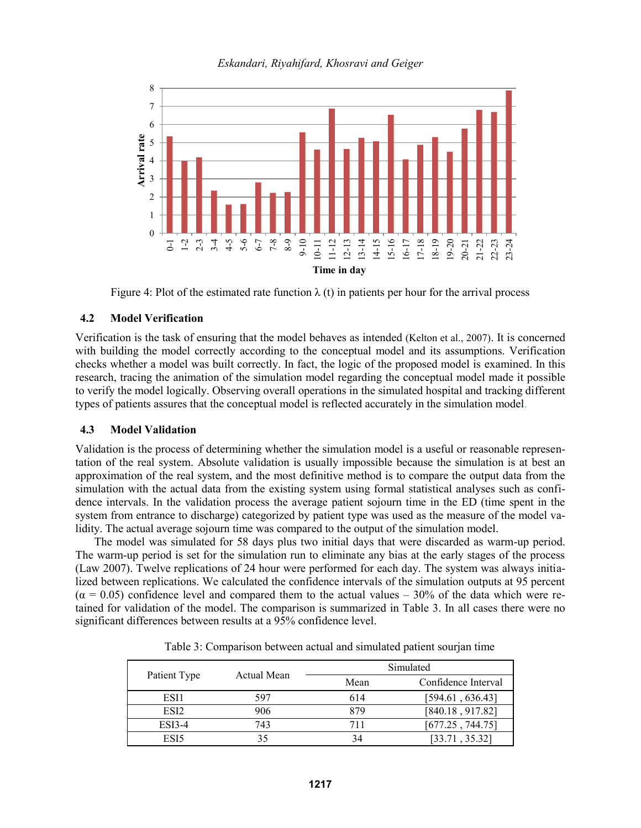

Figure 4: Plot of the estimated rate function  $\lambda$  (t) in patients per hour for the arrival process

## **4.2 Model Verification**

Verification is the task of ensuring that the model behaves as intended (Kelton et al., 2007). It is concerned with building the model correctly according to the conceptual model and its assumptions. Verification checks whether a model was built correctly. In fact, the logic of the proposed model is examined. In this research, tracing the animation of the simulation model regarding the conceptual model made it possible to verify the model logically. Observing overall operations in the simulated hospital and tracking different types of patients assures that the conceptual model is reflected accurately in the simulation model.

## **4.3 Model Validation**

Validation is the process of determining whether the simulation model is a useful or reasonable representation of the real system. Absolute validation is usually impossible because the simulation is at best an approximation of the real system, and the most definitive method is to compare the output data from the simulation with the actual data from the existing system using formal statistical analyses such as confidence intervals. In the validation process the average patient sojourn time in the ED (time spent in the system from entrance to discharge) categorized by patient type was used as the measure of the model validity. The actual average sojourn time was compared to the output of the simulation model.

The model was simulated for 58 days plus two initial days that were discarded as warm-up period. The warm-up period is set for the simulation run to eliminate any bias at the early stages of the process (Law 2007). Twelve replications of 24 hour were performed for each day. The system was always initialized between replications. We calculated the confidence intervals of the simulation outputs at 95 percent  $(\alpha = 0.05)$  confidence level and compared them to the actual values – 30% of the data which were retained for validation of the model. The comparison is summarized in Table 3. In all cases there were no significant differences between results at a 95% confidence level.

|                  |             |      | Simulated           |
|------------------|-------------|------|---------------------|
| Patient Type     | Actual Mean | Mean | Confidence Interval |
| ESI1             | 597         | 614  | [594.61, 636.43]    |
| ESI <sub>2</sub> | 906         | 879  | [840.18, 917.82]    |
| $ESI3-4$         | 743         | 711  | [677.25, 744.75]    |
| ESI5             |             | 34   | [33.71, 35.32]      |

Table 3: Comparison between actual and simulated patient sourjan time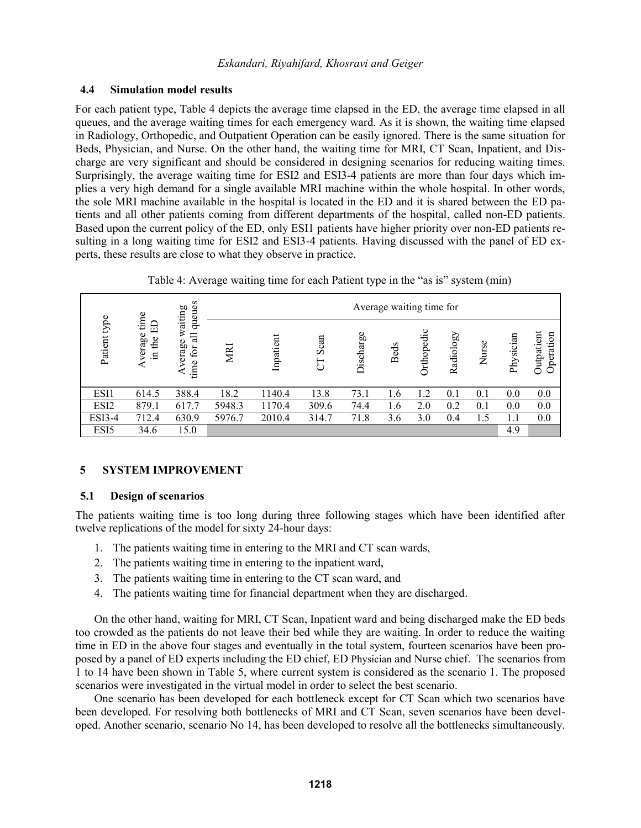## **4.4 Simulation model results**

For each patient type, Table 4 depicts the average time elapsed in the ED, the average time elapsed in all queues, and the average waiting times for each emergency ward. As it is shown, the waiting time elapsed in Radiology, Orthopedic, and Outpatient Operation can be easily ignored. There is the same situation for Beds, Physician, and Nurse. On the other hand, the waiting time for MRI, CT Scan, Inpatient, and Discharge are very significant and should be considered in designing scenarios for reducing waiting times. Surprisingly, the average waiting time for ESI2 and ESI3-4 patients are more than four days which implies a very high demand for a single available MRI machine within the whole hospital. In other words, the sole MRI machine available in the hospital is located in the ED and it is shared between the ED patients and all other patients coming from different departments of the hospital, called non-ED patients. Based upon the current policy of the ED, only ESI1 patients have higher priority over non-ED patients resulting in a long waiting time for ESI2 and ESI3-4 patients. Having discussed with the panel of ED experts, these results are close to what they observe in practice.

Table 4: Average waiting time for each Patient type in the "as is" system (min)

|               |                                     | queues                                             |        |           |           |           | Average waiting time for |                |           |       |           |                         |
|---------------|-------------------------------------|----------------------------------------------------|--------|-----------|-----------|-----------|--------------------------|----------------|-----------|-------|-----------|-------------------------|
| Patient type  | time<br>E<br>verage<br>the<br>$\Xi$ | waiting<br>$\overline{a}$<br>verage<br>for<br>time | MRI    | Inpatient | Scan<br>J | Discharge | <b>Beds</b>              | Orthopedic     | Radiology | Nurse | Physician | Outpatient<br>Operation |
| ESI1          | 614.5                               | 388.4                                              | 18.2   | 1140.4    | 13.8      | 73.1      | 1.6                      | $\overline{2}$ | 0.1       | 0.1   | 0.0       | 0.0                     |
| ESI2          | 879.1                               | 617.7                                              | 5948.3 | 1170.4    | 309.6     | 74.4      | 1.6                      | 2.0            | 0.2       | 0.1   | 0.0       | 0.0                     |
| <b>ESI3-4</b> | 712.4                               | 630.9                                              | 5976.7 | 2010.4    | 314.7     | 71.8      | 3.6                      | 3.0            | 0.4       | 1.5   | 1.1       | 0.0                     |
| ESI5          | 34.6                                | 15.0                                               |        |           |           |           |                          |                |           |       | 4.9       |                         |

# **5 SYSTEM IMPROVEMENT**

# **5.1 Design of scenarios**

The patients waiting time is too long during three following stages which have been identified after twelve replications of the model for sixty 24-hour days:

- 1. The patients waiting time in entering to the MRI and CT scan wards,
- 2. The patients waiting time in entering to the inpatient ward,
- 3. The patients waiting time in entering to the CT scan ward, and
- 4. The patients waiting time for financial department when they are discharged.

On the other hand, waiting for MRI, CT Scan, Inpatient ward and being discharged make the ED beds too crowded as the patients do not leave their bed while they are waiting. In order to reduce the waiting time in ED in the above four stages and eventually in the total system, fourteen scenarios have been proposed by a panel of ED experts including the ED chief, ED Physician and Nurse chief. The scenarios from 1 to 14 have been shown in Table 5, where current system is considered as the scenario 1. The proposed scenarios were investigated in the virtual model in order to select the best scenario.

One scenario has been developed for each bottleneck except for CT Scan which two scenarios have been developed. For resolving both bottlenecks of MRI and CT Scan, seven scenarios have been developed. Another scenario, scenario No 14, has been developed to resolve all the bottlenecks simultaneously.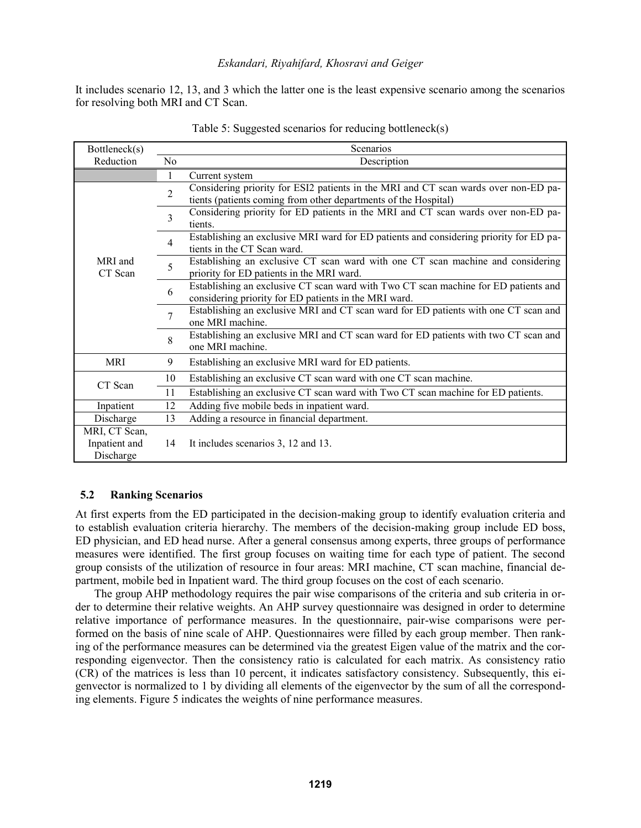It includes scenario 12, 13, and 3 which the latter one is the least expensive scenario among the scenarios for resolving both MRI and CT Scan.

| Bottleneck(s)                               | Scenarios      |                                                                                                                                                        |  |  |  |  |  |  |  |  |
|---------------------------------------------|----------------|--------------------------------------------------------------------------------------------------------------------------------------------------------|--|--|--|--|--|--|--|--|
| Reduction                                   | N <sub>0</sub> | Description                                                                                                                                            |  |  |  |  |  |  |  |  |
|                                             | 1              | Current system                                                                                                                                         |  |  |  |  |  |  |  |  |
|                                             | $\overline{2}$ | Considering priority for ESI2 patients in the MRI and CT scan wards over non-ED pa-<br>tients (patients coming from other departments of the Hospital) |  |  |  |  |  |  |  |  |
| MRI and<br>CT Scan                          | 3              | Considering priority for ED patients in the MRI and CT scan wards over non-ED pa-<br>tients.                                                           |  |  |  |  |  |  |  |  |
|                                             | $\overline{4}$ | Establishing an exclusive MRI ward for ED patients and considering priority for ED pa-<br>tients in the CT Scan ward.                                  |  |  |  |  |  |  |  |  |
|                                             | 5              | Establishing an exclusive CT scan ward with one CT scan machine and considering<br>priority for ED patients in the MRI ward.                           |  |  |  |  |  |  |  |  |
|                                             | 6              | Establishing an exclusive CT scan ward with Two CT scan machine for ED patients and<br>considering priority for ED patients in the MRI ward.           |  |  |  |  |  |  |  |  |
|                                             | $\overline{7}$ | Establishing an exclusive MRI and CT scan ward for ED patients with one CT scan and<br>one MRI machine.                                                |  |  |  |  |  |  |  |  |
|                                             | 8              | Establishing an exclusive MRI and CT scan ward for ED patients with two CT scan and<br>one MRI machine.                                                |  |  |  |  |  |  |  |  |
| <b>MRI</b>                                  | 9              | Establishing an exclusive MRI ward for ED patients.                                                                                                    |  |  |  |  |  |  |  |  |
| CT Scan                                     | 10             | Establishing an exclusive CT scan ward with one CT scan machine.                                                                                       |  |  |  |  |  |  |  |  |
|                                             | 11             | Establishing an exclusive CT scan ward with Two CT scan machine for ED patients.                                                                       |  |  |  |  |  |  |  |  |
| Inpatient                                   | 12             | Adding five mobile beds in inpatient ward.                                                                                                             |  |  |  |  |  |  |  |  |
| Discharge                                   | 13             | Adding a resource in financial department.                                                                                                             |  |  |  |  |  |  |  |  |
| MRI, CT Scan,<br>Inpatient and<br>Discharge | 14             | It includes scenarios 3, 12 and 13.                                                                                                                    |  |  |  |  |  |  |  |  |

Table 5: Suggested scenarios for reducing bottleneck(s)

## **5.2 Ranking Scenarios**

At first experts from the ED participated in the decision-making group to identify evaluation criteria and to establish evaluation criteria hierarchy. The members of the decision-making group include ED boss, ED physician, and ED head nurse. After a general consensus among experts, three groups of performance measures were identified. The first group focuses on waiting time for each type of patient. The second group consists of the utilization of resource in four areas: MRI machine, CT scan machine, financial department, mobile bed in Inpatient ward. The third group focuses on the cost of each scenario.

The group AHP methodology requires the pair wise comparisons of the criteria and sub criteria in order to determine their relative weights. An AHP survey questionnaire was designed in order to determine relative importance of performance measures. In the questionnaire, pair-wise comparisons were performed on the basis of nine scale of AHP. Questionnaires were filled by each group member. Then ranking of the performance measures can be determined via the greatest Eigen value of the matrix and the corresponding eigenvector. Then the consistency ratio is calculated for each matrix. As consistency ratio (CR) of the matrices is less than 10 percent, it indicates satisfactory consistency. Subsequently, this eigenvector is normalized to 1 by dividing all elements of the eigenvector by the sum of all the corresponding elements. Figure 5 indicates the weights of nine performance measures.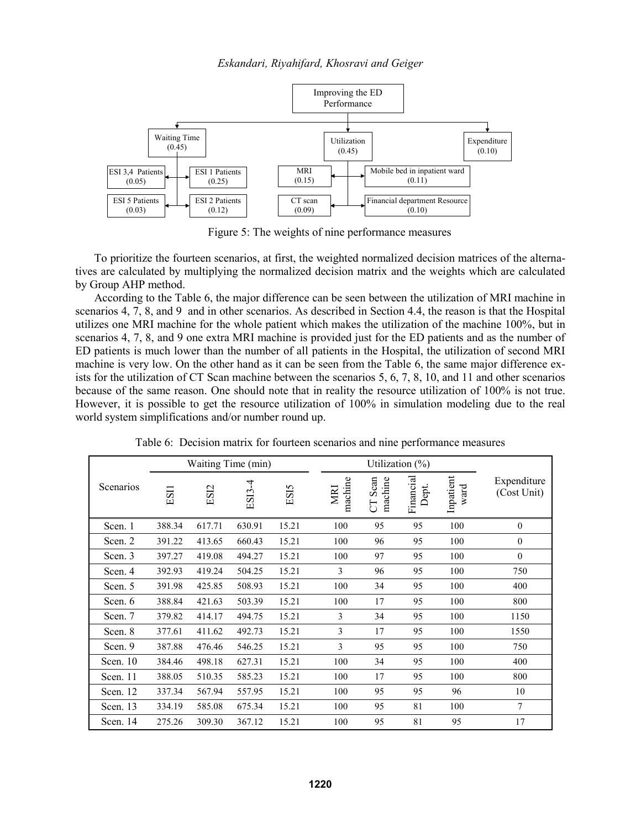

Figure 5: The weights of nine performance measures

To prioritize the fourteen scenarios, at first, the weighted normalized decision matrices of the alternatives are calculated by multiplying the normalized decision matrix and the weights which are calculated by Group AHP method.

According to the Table 6, the major difference can be seen between the utilization of MRI machine in scenarios 4, 7, 8, and 9 and in other scenarios. As described in Section 4.4, the reason is that the Hospital utilizes one MRI machine for the whole patient which makes the utilization of the machine 100%, but in scenarios 4, 7, 8, and 9 one extra MRI machine is provided just for the ED patients and as the number of ED patients is much lower than the number of all patients in the Hospital, the utilization of second MRI machine is very low. On the other hand as it can be seen from the Table 6, the same major difference exists for the utilization of CT Scan machine between the scenarios 5, 6, 7, 8, 10, and 11 and other scenarios because of the same reason. One should note that in reality the resource utilization of 100% is not true. However, it is possible to get the resource utilization of 100% in simulation modeling due to the real world system simplifications and/or number round up.

|           |        |        | Waiting Time (min) |       |                |                                         | Utilization $(\%)$ |                   |                            |
|-----------|--------|--------|--------------------|-------|----------------|-----------------------------------------|--------------------|-------------------|----------------------------|
| Scenarios | ES11   | ESI2   | ES13-4             | ESI5  | MRI            | Scan<br>machine<br>machine<br><b>FD</b> | Financial<br>Dept. | Inpatient<br>ward | Expenditure<br>(Cost Unit) |
| Scen. 1   | 388.34 | 617.71 | 630.91             | 15.21 | 100            | 95                                      | 95                 | 100               | $\mathbf{0}$               |
| Scen. 2   | 391.22 | 413.65 | 660.43             | 15.21 | 100            | 96                                      | 95                 | 100               | $\boldsymbol{0}$           |
| Scen. 3   | 397.27 | 419.08 | 494.27             | 15.21 | 100            | 97                                      | 95                 | 100               | $\mathbf{0}$               |
| Scen. 4   | 392.93 | 419.24 | 504.25             | 15.21 | 3              | 96                                      | 95                 | 100               | 750                        |
| Scen. 5   | 391.98 | 425.85 | 508.93             | 15.21 | 100            | 34                                      | 95                 | 100               | 400                        |
| Scen. 6   | 388.84 | 421.63 | 503.39             | 15.21 | 100            | 17                                      | 95                 | 100               | 800                        |
| Scen. 7   | 379.82 | 414.17 | 494.75             | 15.21 | 3              | 34                                      | 95                 | 100               | 1150                       |
| Scen. 8   | 377.61 | 411.62 | 492.73             | 15.21 | $\overline{3}$ | 17                                      | 95                 | 100               | 1550                       |
| Scen. 9   | 387.88 | 476.46 | 546.25             | 15.21 | 3              | 95                                      | 95                 | 100               | 750                        |
| Scen. 10  | 384.46 | 498.18 | 627.31             | 15.21 | 100            | 34                                      | 95                 | 100               | 400                        |
| Scen. 11  | 388.05 | 510.35 | 585.23             | 15.21 | 100            | 17                                      | 95                 | 100               | 800                        |
| Scen. 12  | 337.34 | 567.94 | 557.95             | 15.21 | 100            | 95                                      | 95                 | 96                | 10                         |
| Scen. 13  | 334.19 | 585.08 | 675.34             | 15.21 | 100            | 95                                      | 81                 | 100               | 7                          |
| Scen. 14  | 275.26 | 309.30 | 367.12             | 15.21 | 100            | 95                                      | 81                 | 95                | 17                         |

Table 6: Decision matrix for fourteen scenarios and nine performance measures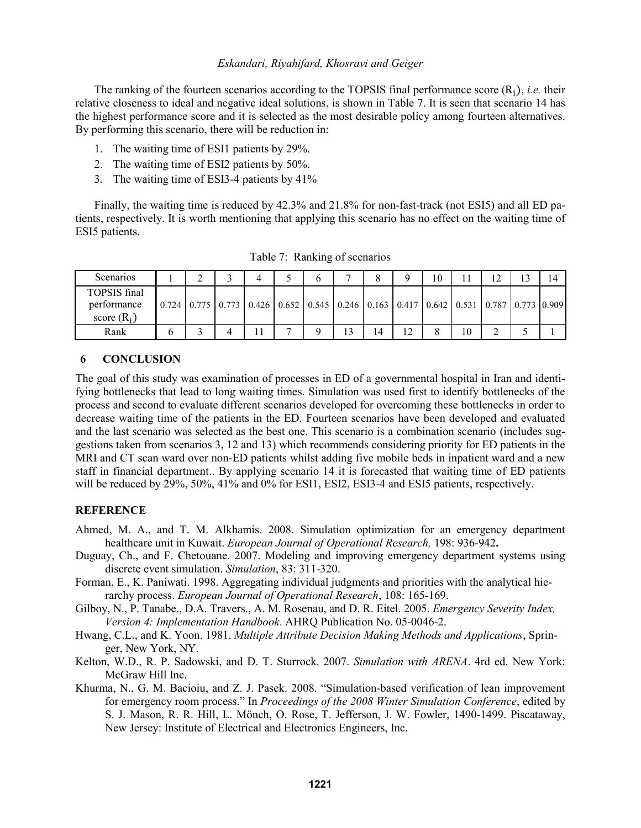The ranking of the fourteen scenarios according to the TOPSIS final performance score  $(R_i)$ , *i.e.* their relative closeness to ideal and negative ideal solutions, is shown in Table 7. It is seen that scenario 14 has the highest performance score and it is selected as the most desirable policy among fourteen alternatives. By performing this scenario, there will be reduction in:

- 1. The waiting time of ESI1 patients by 29%.
- 2. The waiting time of ESI2 patients by 50%.
- 3. The waiting time of ESI3-4 patients by 41%

Finally, the waiting time is reduced by 42.3% and 21.8% for non-fast-track (not ESI5) and all ED patients, respectively. It is worth mentioning that applying this scenario has no effect on the waiting time of ESI5 patients.

| Scenarios                                    |                                                                                                                                           |  |  |   |    | 10 |    |  |  |
|----------------------------------------------|-------------------------------------------------------------------------------------------------------------------------------------------|--|--|---|----|----|----|--|--|
| TOPSIS final<br>performance<br>score $(R_i)$ | $0.724$   $0.775$   $0.773$   $0.426$   $0.652$   $0.545$   $0.246$   $0.163$   $0.417$   $0.642$   $0.531$   $0.787$   $0.773$   $0.909$ |  |  |   |    |    |    |  |  |
| Rank                                         |                                                                                                                                           |  |  | 3 | 14 |    | 10 |  |  |

Table 7: Ranking of scenarios

#### **6 CONCLUSION**

The goal of this study was examination of processes in ED of a governmental hospital in Iran and identifying bottlenecks that lead to long waiting times. Simulation was used first to identify bottlenecks of the process and second to evaluate different scenarios developed for overcoming these bottlenecks in order to decrease waiting time of the patients in the ED. Fourteen scenarios have been developed and evaluated and the last scenario was selected as the best one. This scenario is a combination scenario (includes suggestions taken from scenarios 3, 12 and 13) which recommends considering priority for ED patients in the MRI and CT scan ward over non-ED patients whilst adding five mobile beds in inpatient ward and a new staff in financial department.. By applying scenario 14 it is forecasted that waiting time of ED patients will be reduced by 29%, 50%, 41% and 0% for ESI1, ESI2, ESI3-4 and ESI5 patients, respectively.

#### **REFERENCE**

- Ahmed, M. A., and T. M. Alkhamis. 2008. Simulation optimization for an emergency department healthcare unit in Kuwait. *European Journal of Operational Research,* 198: 936-942**.**
- Duguay, Ch., and F. Chetouane. 2007. Modeling and improving emergency department systems using discrete event simulation. *Simulation*, 83: 311-320.
- Forman, E., K. Paniwati. 1998. Aggregating individual judgments and priorities with the analytical hierarchy process. *European Journal of Operational Research*, 108: 165-169.
- Gilboy, N., P. Tanabe., D.A. Travers., A. M. Rosenau, and D. R. Eitel. 2005. *Emergency Severity Index, Version 4: Implementation Handbook*. AHRQ Publication No. 05-0046-2.
- Hwang, C.L., and K. Yoon. 1981. *Multiple Attribute Decision Making Methods and Applications*, Springer, New York, NY.
- Kelton, W.D., R. P. Sadowski, and D. T. Sturrock. 2007. *Simulation with ARENA*. 4rd ed. New York: McGraw Hill Inc.
- Khurma, N., G. M. Bacioiu, and Z. J. Pasek. 2008. "Simulation-based verification of lean improvement for emergency room process." In *Proceedings of the 2008 Winter Simulation Conference*, edited by S. J. Mason, R. R. Hill, L. Mönch, O. Rose, T. Jefferson, J. W. Fowler, 1490-1499. Piscataway, New Jersey: Institute of Electrical and Electronics Engineers, Inc.